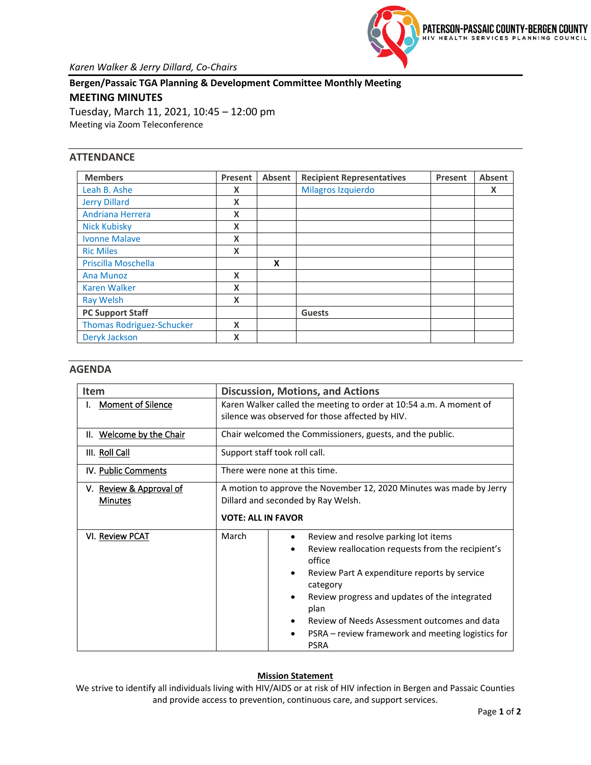

**Bergen/Passaic TGA Planning & Development Committee Monthly Meeting MEETING MINUTES** Tuesday, March 11, 2021, 10:45 – 12:00 pm

Meeting via Zoom Teleconference

## **ATTENDANCE**

| <b>Members</b>                   | Present | Absent | <b>Recipient Representatives</b> | Present | Absent |
|----------------------------------|---------|--------|----------------------------------|---------|--------|
| Leah B. Ashe                     | x       |        | Milagros Izquierdo               |         | X      |
| <b>Jerry Dillard</b>             | x       |        |                                  |         |        |
| Andriana Herrera                 | X       |        |                                  |         |        |
| <b>Nick Kubisky</b>              | X       |        |                                  |         |        |
| <b>Ivonne Malave</b>             | X       |        |                                  |         |        |
| <b>Ric Miles</b>                 | X       |        |                                  |         |        |
| Priscilla Moschella              |         | X      |                                  |         |        |
| <b>Ana Munoz</b>                 | X       |        |                                  |         |        |
| <b>Karen Walker</b>              | X       |        |                                  |         |        |
| <b>Ray Welsh</b>                 | X       |        |                                  |         |        |
| <b>PC Support Staff</b>          |         |        | <b>Guests</b>                    |         |        |
| <b>Thomas Rodriguez-Schucker</b> | X       |        |                                  |         |        |
| Deryk Jackson                    | x       |        |                                  |         |        |

## **AGENDA**

| Item                                      | <b>Discussion, Motions, and Actions</b>                                                                   |                                                                  |  |  |
|-------------------------------------------|-----------------------------------------------------------------------------------------------------------|------------------------------------------------------------------|--|--|
| <b>Moment of Silence</b>                  | Karen Walker called the meeting to order at 10:54 a.m. A moment of                                        |                                                                  |  |  |
|                                           | silence was observed for those affected by HIV.                                                           |                                                                  |  |  |
| II. Welcome by the Chair                  | Chair welcomed the Commissioners, guests, and the public.                                                 |                                                                  |  |  |
| III. Roll Call                            | Support staff took roll call.                                                                             |                                                                  |  |  |
| IV. Public Comments                       | There were none at this time.                                                                             |                                                                  |  |  |
| V. Review & Approval of<br><b>Minutes</b> | A motion to approve the November 12, 2020 Minutes was made by Jerry<br>Dillard and seconded by Ray Welsh. |                                                                  |  |  |
|                                           | <b>VOTE: ALL IN FAVOR</b>                                                                                 |                                                                  |  |  |
| VI. Review PCAT                           | March                                                                                                     | Review and resolve parking lot items                             |  |  |
|                                           |                                                                                                           | Review reallocation requests from the recipient's<br>office      |  |  |
|                                           |                                                                                                           | Review Part A expenditure reports by service<br>category         |  |  |
|                                           |                                                                                                           | Review progress and updates of the integrated<br>plan            |  |  |
|                                           |                                                                                                           | Review of Needs Assessment outcomes and data                     |  |  |
|                                           |                                                                                                           | PSRA – review framework and meeting logistics for<br><b>PSRA</b> |  |  |

## **Mission Statement**

We strive to identify all individuals living with HIV/AIDS or at risk of HIV infection in Bergen and Passaic Counties and provide access to prevention, continuous care, and support services.